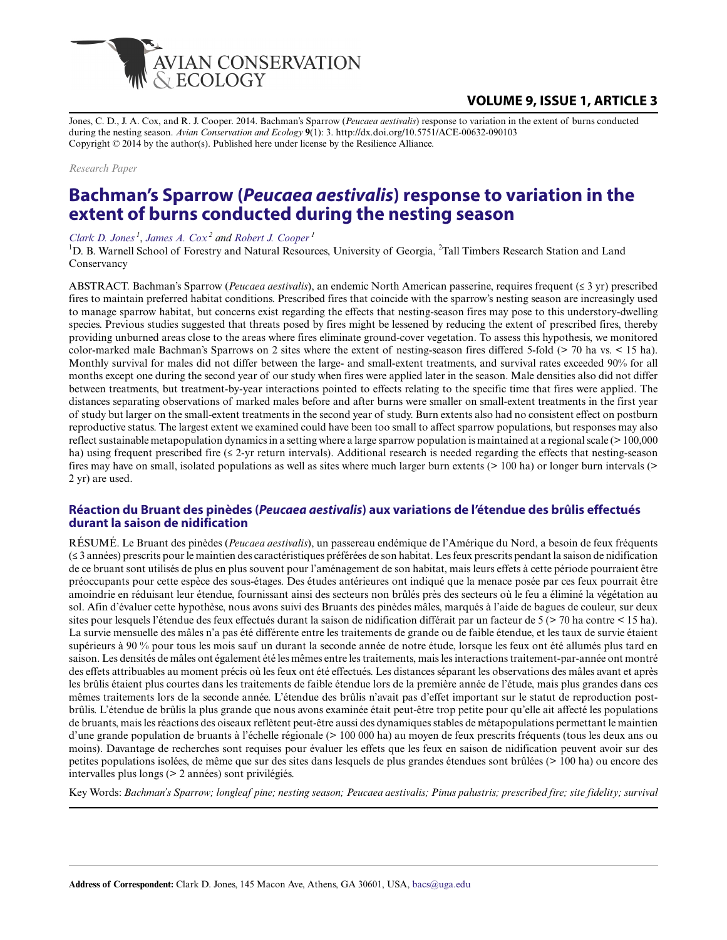

# **VOLUME 9, ISSUE 1, ARTICLE 3**

Jones, C. D., J. A. Cox, and R. J. Cooper. 2014. Bachman's Sparrow (*Peucaea aestivalis*) response to variation in the extent of burns conducted during the nesting season. *Avian Conservation and Ecology* **9**(1): 3. http://dx.doi.org/10.5751/ACE-00632-090103 Copyright © 2014 by the author(s). Published here under license by the Resilience Alliance.

*Research Paper*

# **Bachman's Sparrow (***Peucaea aestivalis***) response to variation in the extent of burns conducted during the nesting season**

*[Clark D. Jones](mailto:bacs@uga.edu)<sup>1</sup>* , *[James A. Cox](mailto:jim@ttrs.org)<sup>2</sup> and [Robert J. Cooper](mailto:rcooper@warnell.uga.edu)<sup>1</sup>*

<sup>1</sup>D. B. Warnell School of Forestry and Natural Resources, University of Georgia, <sup>2</sup>Tall Timbers Research Station and Land Conservancy

ABSTRACT. Bachman's Sparrow (*Peucaea aestivalis*), an endemic North American passerine, requires frequent (≤ 3 yr) prescribed fires to maintain preferred habitat conditions. Prescribed fires that coincide with the sparrow's nesting season are increasingly used to manage sparrow habitat, but concerns exist regarding the effects that nesting-season fires may pose to this understory-dwelling species. Previous studies suggested that threats posed by fires might be lessened by reducing the extent of prescribed fires, thereby providing unburned areas close to the areas where fires eliminate ground-cover vegetation. To assess this hypothesis, we monitored color-marked male Bachman's Sparrows on 2 sites where the extent of nesting-season fires differed 5-fold (> 70 ha vs. < 15 ha). Monthly survival for males did not differ between the large- and small-extent treatments, and survival rates exceeded 90% for all months except one during the second year of our study when fires were applied later in the season. Male densities also did not differ between treatments, but treatment-by-year interactions pointed to effects relating to the specific time that fires were applied. The distances separating observations of marked males before and after burns were smaller on small-extent treatments in the first year of study but larger on the small-extent treatments in the second year of study. Burn extents also had no consistent effect on postburn reproductive status. The largest extent we examined could have been too small to affect sparrow populations, but responses may also reflect sustainable metapopulation dynamics in a setting where a large sparrow population is maintained at a regional scale (> 100,000 ha) using frequent prescribed fire  $(≤ 2$ -yr return intervals). Additional research is needed regarding the effects that nesting-season fires may have on small, isolated populations as well as sites where much larger burn extents (> 100 ha) or longer burn intervals (> 2 yr) are used.

#### **Réaction du Bruant des pinèdes (***Peucaea aestivalis***) aux variations de l'étendue des brûlis effectués durant la saison de nidification**

RÉSUMÉ. Le Bruant des pinèdes (*Peucaea aestivalis*), un passereau endémique de l'Amérique du Nord, a besoin de feux fréquents (≤ 3 années) prescrits pour le maintien des caractéristiques préférées de son habitat. Les feux prescrits pendant la saison de nidification de ce bruant sont utilisés de plus en plus souvent pour l'aménagement de son habitat, mais leurs effets à cette période pourraient être préoccupants pour cette espèce des sous-étages. Des études antérieures ont indiqué que la menace posée par ces feux pourrait être amoindrie en réduisant leur étendue, fournissant ainsi des secteurs non brûlés près des secteurs où le feu a éliminé la végétation au sol. Afin d'évaluer cette hypothèse, nous avons suivi des Bruants des pinèdes mâles, marqués à l'aide de bagues de couleur, sur deux sites pour lesquels l'étendue des feux effectués durant la saison de nidification différait par un facteur de 5 (> 70 ha contre < 15 ha). La survie mensuelle des mâles n'a pas été différente entre les traitements de grande ou de faible étendue, et les taux de survie étaient supérieurs à 90 % pour tous les mois sauf un durant la seconde année de notre étude, lorsque les feux ont été allumés plus tard en saison. Les densités de mâles ont également été les mêmes entre les traitements, mais les interactions traitement-par-année ont montré des effets attribuables au moment précis où les feux ont été effectués. Les distances séparant les observations des mâles avant et après les brûlis étaient plus courtes dans les traitements de faible étendue lors de la première année de l'étude, mais plus grandes dans ces mêmes traitements lors de la seconde année. L'étendue des brûlis n'avait pas d'effet important sur le statut de reproduction postbrûlis. L'étendue de brûlis la plus grande que nous avons examinée était peut-être trop petite pour qu'elle ait affecté les populations de bruants, mais les réactions des oiseaux reflètent peut-être aussi des dynamiques stables de métapopulations permettant le maintien d'une grande population de bruants à l'échelle régionale (> 100 000 ha) au moyen de feux prescrits fréquents (tous les deux ans ou moins). Davantage de recherches sont requises pour évaluer les effets que les feux en saison de nidification peuvent avoir sur des petites populations isolées, de même que sur des sites dans lesquels de plus grandes étendues sont brûlées (> 100 ha) ou encore des intervalles plus longs (> 2 années) sont privilégiés.

Key Words: *Bachman's Sparrow; longleaf pine; nesting season; Peucaea aestivalis; Pinus palustris; prescribed fire; site fidelity; survival*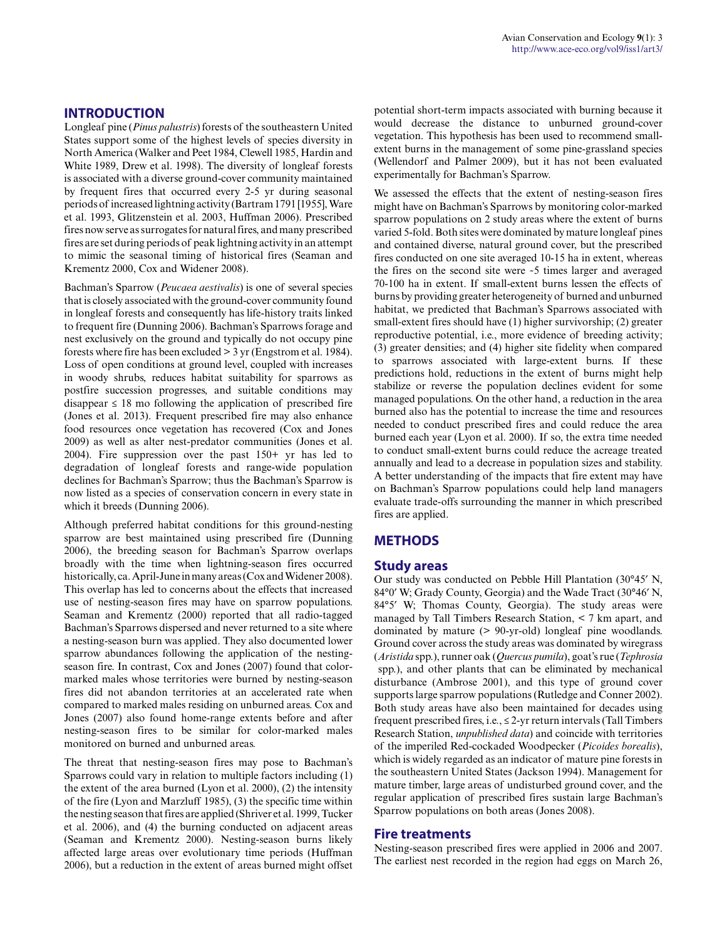#### **INTRODUCTION**

Longleaf pine (*Pinus palustris*) forests of the southeastern United States support some of the highest levels of species diversity in North America (Walker and Peet 1984, Clewell 1985, Hardin and White 1989, Drew et al. 1998). The diversity of longleaf forests is associated with a diverse ground-cover community maintained by frequent fires that occurred every 2-5 yr during seasonal periods of increased lightning activity (Bartram 1791 [1955], Ware et al. 1993, Glitzenstein et al. 2003, Huffman 2006). Prescribed fires now serve as surrogates for natural fires, and many prescribed fires are set during periods of peak lightning activity in an attempt to mimic the seasonal timing of historical fires (Seaman and Krementz 2000, Cox and Widener 2008).

Bachman's Sparrow (*Peucaea aestivalis*) is one of several species that is closely associated with the ground-cover community found in longleaf forests and consequently has life-history traits linked to frequent fire (Dunning 2006). Bachman's Sparrows forage and nest exclusively on the ground and typically do not occupy pine forests where fire has been excluded > 3 yr (Engstrom et al. 1984). Loss of open conditions at ground level, coupled with increases in woody shrubs, reduces habitat suitability for sparrows as postfire succession progresses, and suitable conditions may disappear  $\leq 18$  mo following the application of prescribed fire (Jones et al. 2013). Frequent prescribed fire may also enhance food resources once vegetation has recovered (Cox and Jones 2009) as well as alter nest-predator communities (Jones et al. 2004). Fire suppression over the past 150+ yr has led to degradation of longleaf forests and range-wide population declines for Bachman's Sparrow; thus the Bachman's Sparrow is now listed as a species of conservation concern in every state in which it breeds (Dunning 2006).

Although preferred habitat conditions for this ground-nesting sparrow are best maintained using prescribed fire (Dunning 2006), the breeding season for Bachman's Sparrow overlaps broadly with the time when lightning-season fires occurred historically, ca. April-June in many areas (Cox and Widener 2008). This overlap has led to concerns about the effects that increased use of nesting-season fires may have on sparrow populations. Seaman and Krementz (2000) reported that all radio-tagged Bachman's Sparrows dispersed and never returned to a site where a nesting-season burn was applied. They also documented lower sparrow abundances following the application of the nestingseason fire. In contrast, Cox and Jones (2007) found that colormarked males whose territories were burned by nesting-season fires did not abandon territories at an accelerated rate when compared to marked males residing on unburned areas. Cox and Jones (2007) also found home-range extents before and after nesting-season fires to be similar for color-marked males monitored on burned and unburned areas.

The threat that nesting-season fires may pose to Bachman's Sparrows could vary in relation to multiple factors including (1) the extent of the area burned (Lyon et al. 2000), (2) the intensity of the fire (Lyon and Marzluff 1985), (3) the specific time within the nesting season that fires are applied (Shriver et al. 1999, Tucker et al. 2006), and (4) the burning conducted on adjacent areas (Seaman and Krementz 2000). Nesting-season burns likely affected large areas over evolutionary time periods (Huffman 2006), but a reduction in the extent of areas burned might offset potential short-term impacts associated with burning because it would decrease the distance to unburned ground-cover vegetation. This hypothesis has been used to recommend smallextent burns in the management of some pine-grassland species (Wellendorf and Palmer 2009), but it has not been evaluated experimentally for Bachman's Sparrow.

We assessed the effects that the extent of nesting-season fires might have on Bachman's Sparrows by monitoring color-marked sparrow populations on 2 study areas where the extent of burns varied 5-fold. Both sites were dominated by mature longleaf pines and contained diverse, natural ground cover, but the prescribed fires conducted on one site averaged 10-15 ha in extent, whereas the fires on the second site were ∼5 times larger and averaged 70-100 ha in extent. If small-extent burns lessen the effects of burns by providing greater heterogeneity of burned and unburned habitat, we predicted that Bachman's Sparrows associated with small-extent fires should have (1) higher survivorship; (2) greater reproductive potential, i.e., more evidence of breeding activity; (3) greater densities; and (4) higher site fidelity when compared to sparrows associated with large-extent burns. If these predictions hold, reductions in the extent of burns might help stabilize or reverse the population declines evident for some managed populations. On the other hand, a reduction in the area burned also has the potential to increase the time and resources needed to conduct prescribed fires and could reduce the area burned each year (Lyon et al. 2000). If so, the extra time needed to conduct small-extent burns could reduce the acreage treated annually and lead to a decrease in population sizes and stability. A better understanding of the impacts that fire extent may have on Bachman's Sparrow populations could help land managers evaluate trade-offs surrounding the manner in which prescribed fires are applied.

# **METHODS**

#### **Study areas**

Our study was conducted on Pebble Hill Plantation (30°45′ N, 84°0′ W; Grady County, Georgia) and the Wade Tract (30°46′ N, 84°5′ W; Thomas County, Georgia). The study areas were managed by Tall Timbers Research Station, < 7 km apart, and dominated by mature (> 90-yr-old) longleaf pine woodlands. Ground cover across the study areas was dominated by wiregrass (*Aristida* spp.), runner oak (*Quercus pumila*), goat's rue (*Tephrosia* spp.), and other plants that can be eliminated by mechanical disturbance (Ambrose 2001), and this type of ground cover supports large sparrow populations (Rutledge and Conner 2002). Both study areas have also been maintained for decades using frequent prescribed fires, i.e.,  $\leq$  2-yr return intervals (Tall Timbers Research Station, *unpublished data*) and coincide with territories of the imperiled Red-cockaded Woodpecker (*Picoides borealis*), which is widely regarded as an indicator of mature pine forests in the southeastern United States (Jackson 1994). Management for mature timber, large areas of undisturbed ground cover, and the regular application of prescribed fires sustain large Bachman's Sparrow populations on both areas (Jones 2008).

#### **Fire treatments**

Nesting-season prescribed fires were applied in 2006 and 2007. The earliest nest recorded in the region had eggs on March 26,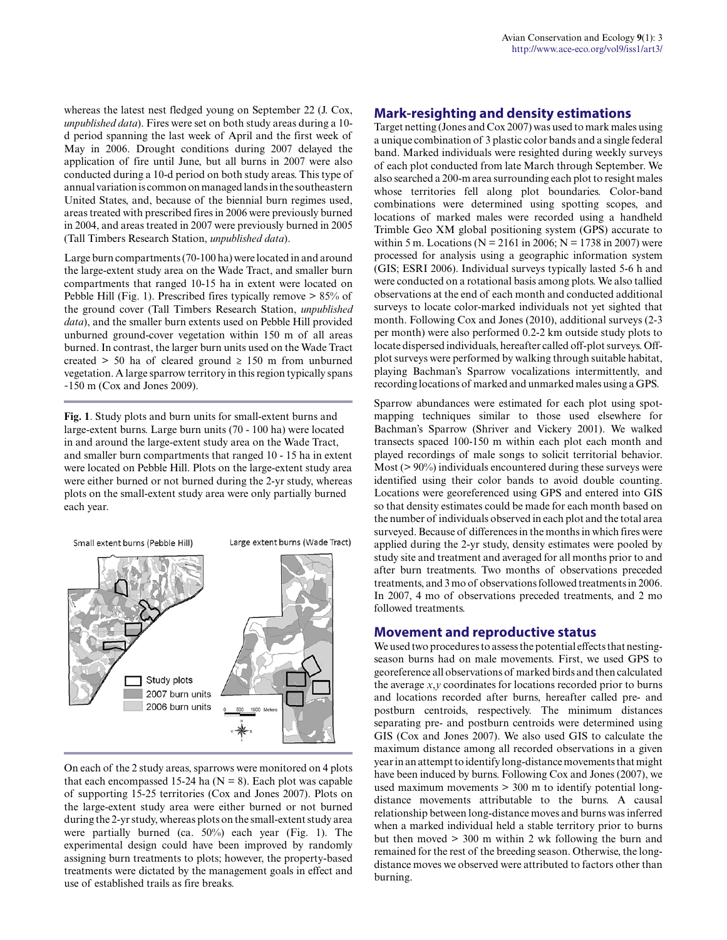whereas the latest nest fledged young on September 22 (J. Cox, *unpublished data*). Fires were set on both study areas during a 10 d period spanning the last week of April and the first week of May in 2006. Drought conditions during 2007 delayed the application of fire until June, but all burns in 2007 were also conducted during a 10-d period on both study areas. This type of annual variation is common on managed lands in the southeastern United States, and, because of the biennial burn regimes used, areas treated with prescribed fires in 2006 were previously burned in 2004, and areas treated in 2007 were previously burned in 2005 (Tall Timbers Research Station, *unpublished data*).

Large burn compartments (70-100 ha) were located in and around the large-extent study area on the Wade Tract, and smaller burn compartments that ranged 10-15 ha in extent were located on Pebble Hill (Fig. 1). Prescribed fires typically remove > 85% of the ground cover (Tall Timbers Research Station, *unpublished data*), and the smaller burn extents used on Pebble Hill provided unburned ground-cover vegetation within 150 m of all areas burned. In contrast, the larger burn units used on the Wade Tract created  $> 50$  ha of cleared ground  $\geq 150$  m from unburned vegetation. A large sparrow territory in this region typically spans ∼150 m (Cox and Jones 2009).

**Fig. 1**. Study plots and burn units for small-extent burns and large-extent burns. Large burn units (70 - 100 ha) were located in and around the large-extent study area on the Wade Tract, and smaller burn compartments that ranged 10 - 15 ha in extent were located on Pebble Hill. Plots on the large-extent study area were either burned or not burned during the 2-yr study, whereas plots on the small-extent study area were only partially burned each year.



On each of the 2 study areas, sparrows were monitored on 4 plots that each encompassed 15-24 ha ( $N = 8$ ). Each plot was capable of supporting 15-25 territories (Cox and Jones 2007). Plots on the large-extent study area were either burned or not burned during the 2-yr study, whereas plots on the small-extent study area were partially burned (ca. 50%) each year (Fig. 1). The experimental design could have been improved by randomly assigning burn treatments to plots; however, the property-based treatments were dictated by the management goals in effect and use of established trails as fire breaks.

# **Mark-resighting and density estimations**

Target netting (Jones and Cox 2007) was used to mark males using a unique combination of 3 plastic color bands and a single federal band. Marked individuals were resighted during weekly surveys of each plot conducted from late March through September. We also searched a 200-m area surrounding each plot to resight males whose territories fell along plot boundaries. Color-band combinations were determined using spotting scopes, and locations of marked males were recorded using a handheld Trimble Geo XM global positioning system (GPS) accurate to within 5 m. Locations ( $N = 2161$  in 2006;  $N = 1738$  in 2007) were processed for analysis using a geographic information system (GIS; ESRI 2006). Individual surveys typically lasted 5-6 h and were conducted on a rotational basis among plots. We also tallied observations at the end of each month and conducted additional surveys to locate color-marked individuals not yet sighted that month. Following Cox and Jones (2010), additional surveys (2-3 per month) were also performed 0.2-2 km outside study plots to locate dispersed individuals, hereafter called off-plot surveys. Offplot surveys were performed by walking through suitable habitat, playing Bachman's Sparrow vocalizations intermittently, and recording locations of marked and unmarked males using a GPS.

Sparrow abundances were estimated for each plot using spotmapping techniques similar to those used elsewhere for Bachman's Sparrow (Shriver and Vickery 2001). We walked transects spaced 100-150 m within each plot each month and played recordings of male songs to solicit territorial behavior. Most (> 90%) individuals encountered during these surveys were identified using their color bands to avoid double counting. Locations were georeferenced using GPS and entered into GIS so that density estimates could be made for each month based on the number of individuals observed in each plot and the total area surveyed. Because of differences in the months in which fires were applied during the 2-yr study, density estimates were pooled by study site and treatment and averaged for all months prior to and after burn treatments. Two months of observations preceded treatments, and 3 mo of observations followed treatments in 2006. In 2007, 4 mo of observations preceded treatments, and 2 mo followed treatments.

#### **Movement and reproductive status**

We used two procedures to assess the potential effects that nestingseason burns had on male movements. First, we used GPS to georeference all observations of marked birds and then calculated the average *x*,*y* coordinates for locations recorded prior to burns and locations recorded after burns, hereafter called pre- and postburn centroids, respectively. The minimum distances separating pre- and postburn centroids were determined using GIS (Cox and Jones 2007). We also used GIS to calculate the maximum distance among all recorded observations in a given year in an attempt to identify long-distance movements that might have been induced by burns. Following Cox and Jones (2007), we used maximum movements > 300 m to identify potential longdistance movements attributable to the burns. A causal relationship between long-distance moves and burns was inferred when a marked individual held a stable territory prior to burns but then moved  $> 300$  m within 2 wk following the burn and remained for the rest of the breeding season. Otherwise, the longdistance moves we observed were attributed to factors other than burning.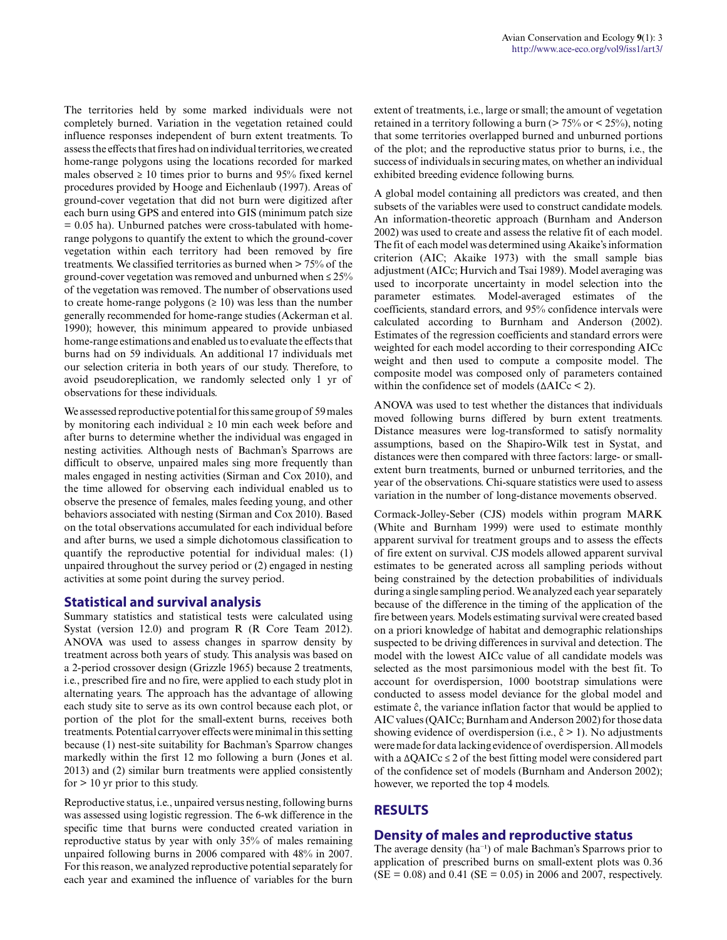The territories held by some marked individuals were not completely burned. Variation in the vegetation retained could influence responses independent of burn extent treatments. To assess the effects that fires had on individual territories, we created home-range polygons using the locations recorded for marked males observed  $\geq 10$  times prior to burns and 95% fixed kernel procedures provided by Hooge and Eichenlaub (1997). Areas of ground-cover vegetation that did not burn were digitized after each burn using GPS and entered into GIS (minimum patch size  $= 0.05$  ha). Unburned patches were cross-tabulated with homerange polygons to quantify the extent to which the ground-cover vegetation within each territory had been removed by fire treatments. We classified territories as burned when > 75% of the ground-cover vegetation was removed and unburned when  $\leq 25\%$ of the vegetation was removed. The number of observations used to create home-range polygons  $(≥ 10)$  was less than the number generally recommended for home-range studies (Ackerman et al. 1990); however, this minimum appeared to provide unbiased home-range estimations and enabled us to evaluate the effects that burns had on 59 individuals. An additional 17 individuals met our selection criteria in both years of our study. Therefore, to avoid pseudoreplication, we randomly selected only 1 yr of observations for these individuals.

We assessed reproductive potential for this same group of 59 males by monitoring each individual  $\geq 10$  min each week before and after burns to determine whether the individual was engaged in nesting activities. Although nests of Bachman's Sparrows are difficult to observe, unpaired males sing more frequently than males engaged in nesting activities (Sirman and Cox 2010), and the time allowed for observing each individual enabled us to observe the presence of females, males feeding young, and other behaviors associated with nesting (Sirman and Cox 2010). Based on the total observations accumulated for each individual before and after burns, we used a simple dichotomous classification to quantify the reproductive potential for individual males: (1) unpaired throughout the survey period or (2) engaged in nesting activities at some point during the survey period.

# **Statistical and survival analysis**

Summary statistics and statistical tests were calculated using Systat (version 12.0) and program R (R Core Team 2012). ANOVA was used to assess changes in sparrow density by treatment across both years of study. This analysis was based on a 2-period crossover design (Grizzle 1965) because 2 treatments, i.e., prescribed fire and no fire, were applied to each study plot in alternating years. The approach has the advantage of allowing each study site to serve as its own control because each plot, or portion of the plot for the small-extent burns, receives both treatments. Potential carryover effects were minimal in this setting because (1) nest-site suitability for Bachman's Sparrow changes markedly within the first 12 mo following a burn (Jones et al. 2013) and (2) similar burn treatments were applied consistently for  $> 10$  yr prior to this study.

Reproductive status, i.e., unpaired versus nesting, following burns was assessed using logistic regression. The 6-wk difference in the specific time that burns were conducted created variation in reproductive status by year with only 35% of males remaining unpaired following burns in 2006 compared with 48% in 2007. For this reason, we analyzed reproductive potential separately for each year and examined the influence of variables for the burn

extent of treatments, i.e., large or small; the amount of vegetation retained in a territory following a burn ( $> 75\%$  or  $< 25\%$ ), noting that some territories overlapped burned and unburned portions of the plot; and the reproductive status prior to burns, i.e., the success of individuals in securing mates, on whether an individual exhibited breeding evidence following burns.

A global model containing all predictors was created, and then subsets of the variables were used to construct candidate models. An information-theoretic approach (Burnham and Anderson 2002) was used to create and assess the relative fit of each model. The fit of each model was determined using Akaike's information criterion (AIC; Akaike 1973) with the small sample bias adjustment (AICc; Hurvich and Tsai 1989). Model averaging was used to incorporate uncertainty in model selection into the parameter estimates. Model-averaged estimates of the coefficients, standard errors, and 95% confidence intervals were calculated according to Burnham and Anderson (2002). Estimates of the regression coefficients and standard errors were weighted for each model according to their corresponding AICc weight and then used to compute a composite model. The composite model was composed only of parameters contained within the confidence set of models  $(\triangle AICc \leq 2)$ .

ANOVA was used to test whether the distances that individuals moved following burns differed by burn extent treatments. Distance measures were log-transformed to satisfy normality assumptions, based on the Shapiro-Wilk test in Systat, and distances were then compared with three factors: large- or smallextent burn treatments, burned or unburned territories, and the year of the observations. Chi-square statistics were used to assess variation in the number of long-distance movements observed.

Cormack-Jolley-Seber (CJS) models within program MARK (White and Burnham 1999) were used to estimate monthly apparent survival for treatment groups and to assess the effects of fire extent on survival. CJS models allowed apparent survival estimates to be generated across all sampling periods without being constrained by the detection probabilities of individuals during a single sampling period. We analyzed each year separately because of the difference in the timing of the application of the fire between years. Models estimating survival were created based on a priori knowledge of habitat and demographic relationships suspected to be driving differences in survival and detection. The model with the lowest AICc value of all candidate models was selected as the most parsimonious model with the best fit. To account for overdispersion, 1000 bootstrap simulations were conducted to assess model deviance for the global model and estimate ĉ, the variance inflation factor that would be applied to AIC values (QAICc; Burnham and Anderson 2002) for those data showing evidence of overdispersion (i.e.,  $\hat{c} > 1$ ). No adjustments were made for data lacking evidence of overdispersion. All models with a  $\triangle QAICc \leq 2$  of the best fitting model were considered part of the confidence set of models (Burnham and Anderson 2002); however, we reported the top 4 models.

# **RESULTS**

# **Density of males and reproductive status**

The average density (ha<sup>-1</sup>) of male Bachman's Sparrows prior to application of prescribed burns on small-extent plots was 0.36  $(SE = 0.08)$  and 0.41 ( $SE = 0.05$ ) in 2006 and 2007, respectively.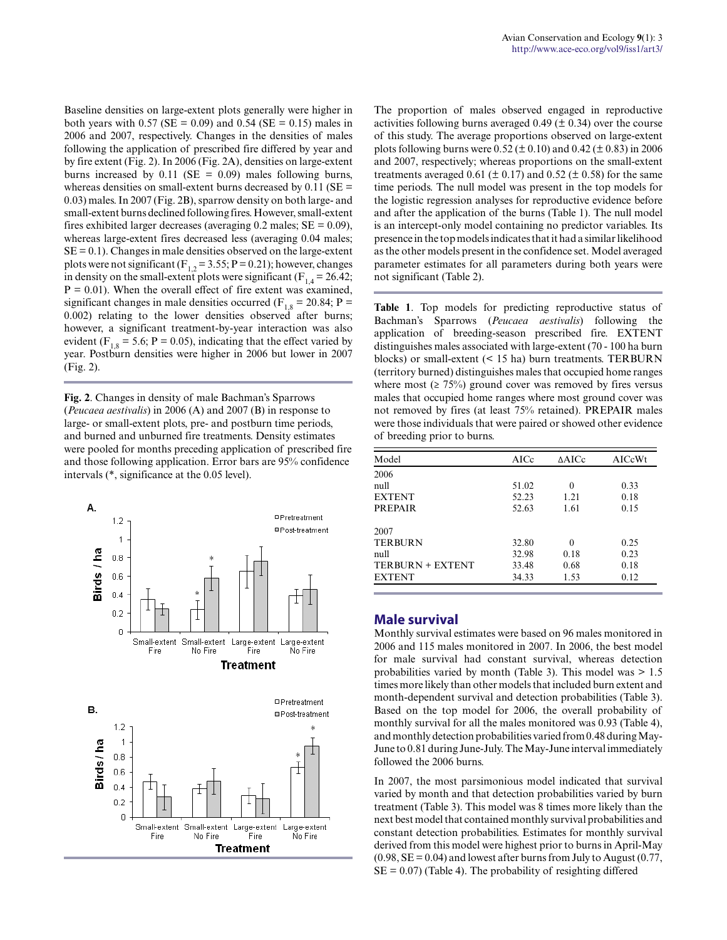Baseline densities on large-extent plots generally were higher in both years with  $0.57$  (SE = 0.09) and 0.54 (SE = 0.15) males in 2006 and 2007, respectively. Changes in the densities of males following the application of prescribed fire differed by year and by fire extent (Fig. 2). In 2006 (Fig. 2A), densities on large-extent burns increased by  $0.11$  (SE = 0.09) males following burns, whereas densities on small-extent burns decreased by  $0.11$  (SE = 0.03) males. In 2007 (Fig. 2B), sparrow density on both large- and small-extent burns declined following fires. However, small-extent fires exhibited larger decreases (averaging  $0.2$  males;  $SE = 0.09$ ), whereas large-extent fires decreased less (averaging 0.04 males; SE = 0.1). Changes in male densities observed on the large-extent plots were not significant ( $F_{1,2} = 3.55$ ; P = 0.21); however, changes in density on the small-extent plots were significant ( $F_{1,4} = 26.42$ ;  $P = 0.01$ ). When the overall effect of fire extent was examined, significant changes in male densities occurred ( $F_{1,8} = 20.84$ ; P = 0.002) relating to the lower densities observed after burns; however, a significant treatment-by-year interaction was also evident ( $F_{1,8}$  = 5.6; P = 0.05), indicating that the effect varied by year. Postburn densities were higher in 2006 but lower in 2007 (Fig. 2).

**Fig. 2**. Changes in density of male Bachman's Sparrows (*Peucaea aestivalis*) in 2006 (A) and 2007 (B) in response to large- or small-extent plots, pre- and postburn time periods, and burned and unburned fire treatments. Density estimates were pooled for months preceding application of prescribed fire and those following application. Error bars are 95% confidence intervals (\*, significance at the 0.05 level).



The proportion of males observed engaged in reproductive activities following burns averaged  $0.49$  ( $\pm$  0.34) over the course of this study. The average proportions observed on large-extent plots following burns were  $0.52 (\pm 0.10)$  and  $0.42 (\pm 0.83)$  in 2006 and 2007, respectively; whereas proportions on the small-extent treatments averaged 0.61 ( $\pm$  0.17) and 0.52 ( $\pm$  0.58) for the same time periods. The null model was present in the top models for the logistic regression analyses for reproductive evidence before and after the application of the burns (Table 1). The null model is an intercept-only model containing no predictor variables. Its presence in the top models indicates that it had a similar likelihood as the other models present in the confidence set. Model averaged parameter estimates for all parameters during both years were not significant (Table 2).

**Table 1**. Top models for predicting reproductive status of Bachman's Sparrows (*Peucaea aestivalis*) following the application of breeding-season prescribed fire. EXTENT distinguishes males associated with large-extent (70 - 100 ha burn blocks) or small-extent (< 15 ha) burn treatments. TERBURN (territory burned) distinguishes males that occupied home ranges where most  $(≥ 75%)$  ground cover was removed by fires versus males that occupied home ranges where most ground cover was not removed by fires (at least 75% retained). PREPAIR males were those individuals that were paired or showed other evidence of breeding prior to burns.

| Model            | AICc  | $\triangle$ AICc | AICcWt |
|------------------|-------|------------------|--------|
| 2006             |       |                  |        |
| null             | 51.02 | $\theta$         | 0.33   |
| <b>EXTENT</b>    | 52.23 | 1.21             | 0.18   |
| <b>PREPAIR</b>   | 52.63 | 1.61             | 0.15   |
| 2007             |       |                  |        |
| <b>TERBURN</b>   | 32.80 | $\theta$         | 0.25   |
| null             | 32.98 | 0.18             | 0.23   |
| TERBURN + EXTENT | 33.48 | 0.68             | 0.18   |
| <b>EXTENT</b>    | 34.33 | 1.53             | 0.12   |

# **Male survival**

Monthly survival estimates were based on 96 males monitored in 2006 and 115 males monitored in 2007. In 2006, the best model for male survival had constant survival, whereas detection probabilities varied by month (Table 3). This model was > 1.5 times more likely than other models that included burn extent and month-dependent survival and detection probabilities (Table 3). Based on the top model for 2006, the overall probability of monthly survival for all the males monitored was 0.93 (Table 4), and monthly detection probabilities varied from 0.48 during May-June to 0.81 during June-July. The May-June interval immediately followed the 2006 burns.

In 2007, the most parsimonious model indicated that survival varied by month and that detection probabilities varied by burn treatment (Table 3). This model was 8 times more likely than the next best model that contained monthly survival probabilities and constant detection probabilities. Estimates for monthly survival derived from this model were highest prior to burns in April-May  $(0.98, SE = 0.04)$  and lowest after burns from July to August  $(0.77,$  $SE = 0.07$ ) (Table 4). The probability of resighting differed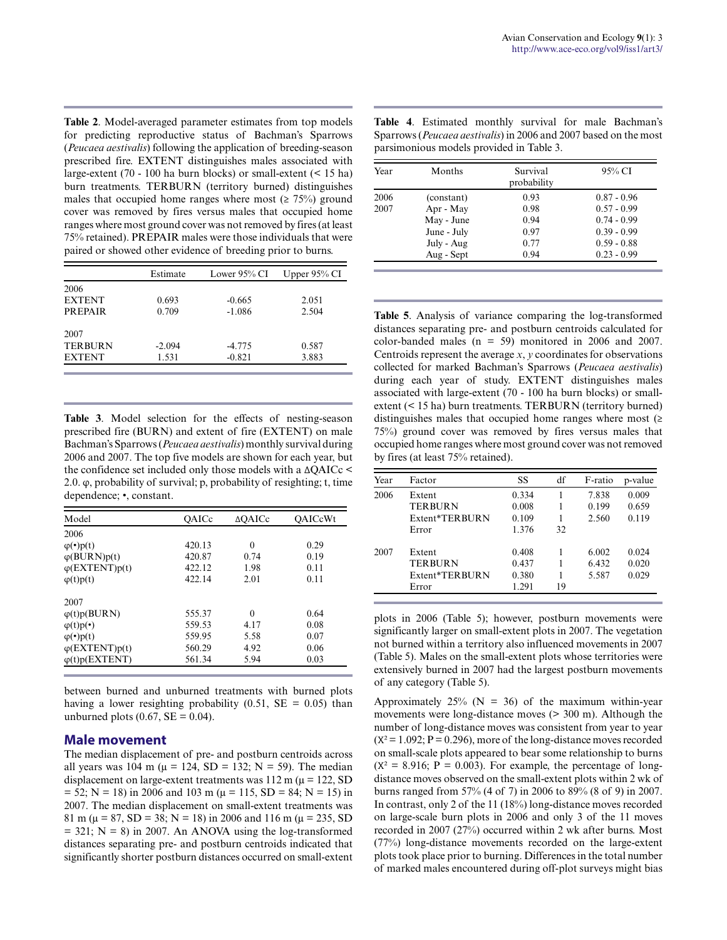**Table 2**. Model-averaged parameter estimates from top models for predicting reproductive status of Bachman's Sparrows (*Peucaea aestivalis*) following the application of breeding-season prescribed fire. EXTENT distinguishes males associated with large-extent (70 - 100 ha burn blocks) or small-extent (< 15 ha) burn treatments. TERBURN (territory burned) distinguishes males that occupied home ranges where most  $(≥ 75%)$  ground cover was removed by fires versus males that occupied home ranges where most ground cover was not removed by fires (at least 75% retained). PREPAIR males were those individuals that were paired or showed other evidence of breeding prior to burns.

|                | Estimate | Lower $95\%$ CI | Upper $95\%$ CI |  |
|----------------|----------|-----------------|-----------------|--|
| 2006           |          |                 |                 |  |
| <b>EXTENT</b>  | 0.693    | $-0.665$        | 2.051           |  |
| <b>PREPAIR</b> | 0.709    | $-1.086$        | 2.504           |  |
| 2007           |          |                 |                 |  |
| <b>TERBURN</b> | $-2.094$ | $-4.775$        | 0.587           |  |
| <b>EXTENT</b>  | 1.531    | $-0.821$        | 3.883           |  |
|                |          |                 |                 |  |

**Table 3**. Model selection for the effects of nesting-season prescribed fire (BURN) and extent of fire (EXTENT) on male Bachman's Sparrows (*Peucaea aestivalis*) monthly survival during 2006 and 2007. The top five models are shown for each year, but the confidence set included only those models with a ΔQAICc < 2.0. φ, probability of survival; p, probability of resighting; t, time dependence; •, constant.

| Model                     | OAICc  | ∆OAICc   | <b>OAICcWt</b> |
|---------------------------|--------|----------|----------------|
| 2006                      |        |          |                |
| $\varphi(\cdot)p(t)$      | 420.13 | $\theta$ | 0.29           |
| $\varphi(BURN)p(t)$       | 420.87 | 0.74     | 0.19           |
| $\varphi$ (EXTENT) $p(t)$ | 422.12 | 1.98     | 0.11           |
| $\varphi(t)p(t)$          | 422.14 | 2.01     | 0.11           |
| 2007                      |        |          |                |
| $\varphi(t)p(BURN)$       | 555.37 | $\Omega$ | 0.64           |
| $\varphi(t)p(\cdot)$      | 559.53 | 4.17     | 0.08           |
| $\varphi(\cdot)p(t)$      | 559.95 | 5.58     | 0.07           |
| $\varphi$ (EXTENT) $p(t)$ | 560.29 | 4.92     | 0.06           |
| $\varphi(t)p$ (EXTENT)    | 561.34 | 5.94     | 0.03           |

between burned and unburned treatments with burned plots having a lower resighting probability  $(0.51, SE = 0.05)$  than unburned plots  $(0.67, SE = 0.04)$ .

#### **Male movement**

The median displacement of pre- and postburn centroids across all years was 104 m ( $\mu$  = 124, SD = 132; N = 59). The median displacement on large-extent treatments was  $112$  m ( $\mu$  = 122, SD)  $= 52$ ; N = 18) in 2006 and 103 m ( $\mu$  = 115, SD = 84; N = 15) in 2007. The median displacement on small-extent treatments was 81 m ( $\mu$  = 87, SD = 38; N = 18) in 2006 and 116 m ( $\mu$  = 235, SD  $= 321$ ; N = 8) in 2007. An ANOVA using the log-transformed distances separating pre- and postburn centroids indicated that significantly shorter postburn distances occurred on small-extent

**Table 4**. Estimated monthly survival for male Bachman's Sparrows (*Peucaea aestivalis*) in 2006 and 2007 based on the most parsimonious models provided in Table 3.

| Year | Months      | Survival<br>probability | 95% CI        |
|------|-------------|-------------------------|---------------|
| 2006 | (constant)  | 0.93                    | $0.87 - 0.96$ |
| 2007 | Apr - May   | 0.98                    | $0.57 - 0.99$ |
|      | May - June  | 0.94                    | $0.74 - 0.99$ |
|      | June - July | 0.97                    | $0.39 - 0.99$ |
|      | July - Aug  | 0.77                    | $0.59 - 0.88$ |
|      | Aug - Sept  | 0.94                    | $0.23 - 0.99$ |

**Table 5**. Analysis of variance comparing the log-transformed distances separating pre- and postburn centroids calculated for color-banded males  $(n = 59)$  monitored in 2006 and 2007. Centroids represent the average *x*, *y* coordinates for observations collected for marked Bachman's Sparrows (*Peucaea aestivalis*) during each year of study. EXTENT distinguishes males associated with large-extent (70 - 100 ha burn blocks) or smallextent (< 15 ha) burn treatments. TERBURN (territory burned) distinguishes males that occupied home ranges where most  $(≥$ 75%) ground cover was removed by fires versus males that occupied home ranges where most ground cover was not removed by fires (at least 75% retained).

| Year | Factor         | SS    | df | F-ratio | p-value |
|------|----------------|-------|----|---------|---------|
| 2006 | Extent         | 0.334 |    | 7.838   | 0.009   |
|      | <b>TERBURN</b> | 0.008 |    | 0.199   | 0.659   |
|      | Extent*TERBURN | 0.109 |    | 2.560   | 0.119   |
|      | Error          | 1.376 | 32 |         |         |
| 2007 | Extent         | 0.408 |    | 6.002   | 0.024   |
|      | <b>TERBURN</b> | 0.437 |    | 6.432   | 0.020   |
|      | Extent*TERBURN | 0.380 |    | 5.587   | 0.029   |
|      | Error          | 1.291 | 19 |         |         |

plots in 2006 (Table 5); however, postburn movements were significantly larger on small-extent plots in 2007. The vegetation not burned within a territory also influenced movements in 2007 (Table 5). Males on the small-extent plots whose territories were extensively burned in 2007 had the largest postburn movements of any category (Table 5).

Approximately 25% ( $N = 36$ ) of the maximum within-year movements were long-distance moves ( $>$  300 m). Although the number of long-distance moves was consistent from year to year  $(X^2 = 1.092; P = 0.296)$ , more of the long-distance moves recorded on small-scale plots appeared to bear some relationship to burns  $(X^2 = 8.916; P = 0.003)$ . For example, the percentage of longdistance moves observed on the small-extent plots within 2 wk of burns ranged from 57% (4 of 7) in 2006 to 89% (8 of 9) in 2007. In contrast, only 2 of the 11 (18%) long-distance moves recorded on large-scale burn plots in 2006 and only 3 of the 11 moves recorded in 2007 (27%) occurred within 2 wk after burns. Most (77%) long-distance movements recorded on the large-extent plots took place prior to burning. Differences in the total number of marked males encountered during off-plot surveys might bias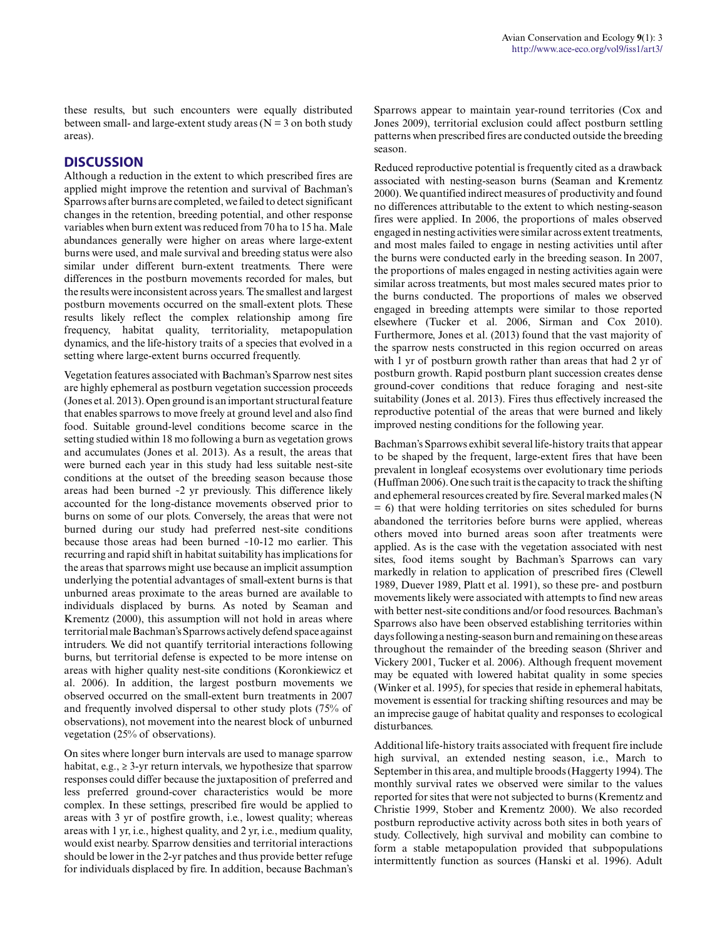these results, but such encounters were equally distributed between small- and large-extent study areas ( $N = 3$  on both study areas).

# **DISCUSSION**

Although a reduction in the extent to which prescribed fires are applied might improve the retention and survival of Bachman's Sparrows after burns are completed, we failed to detect significant changes in the retention, breeding potential, and other response variables when burn extent was reduced from 70 ha to 15 ha. Male abundances generally were higher on areas where large-extent burns were used, and male survival and breeding status were also similar under different burn-extent treatments. There were differences in the postburn movements recorded for males, but the results were inconsistent across years. The smallest and largest postburn movements occurred on the small-extent plots. These results likely reflect the complex relationship among fire frequency, habitat quality, territoriality, metapopulation dynamics, and the life-history traits of a species that evolved in a setting where large-extent burns occurred frequently.

Vegetation features associated with Bachman's Sparrow nest sites are highly ephemeral as postburn vegetation succession proceeds (Jones et al. 2013). Open ground is an important structural feature that enables sparrows to move freely at ground level and also find food. Suitable ground-level conditions become scarce in the setting studied within 18 mo following a burn as vegetation grows and accumulates (Jones et al. 2013). As a result, the areas that were burned each year in this study had less suitable nest-site conditions at the outset of the breeding season because those areas had been burned ∼2 yr previously. This difference likely accounted for the long-distance movements observed prior to burns on some of our plots. Conversely, the areas that were not burned during our study had preferred nest-site conditions because those areas had been burned ∼10-12 mo earlier. This recurring and rapid shift in habitat suitability has implications for the areas that sparrows might use because an implicit assumption underlying the potential advantages of small-extent burns is that unburned areas proximate to the areas burned are available to individuals displaced by burns. As noted by Seaman and Krementz (2000), this assumption will not hold in areas where territorial male Bachman's Sparrows actively defend space against intruders. We did not quantify territorial interactions following burns, but territorial defense is expected to be more intense on areas with higher quality nest-site conditions (Koronkiewicz et al. 2006). In addition, the largest postburn movements we observed occurred on the small-extent burn treatments in 2007 and frequently involved dispersal to other study plots (75% of observations), not movement into the nearest block of unburned vegetation (25% of observations).

On sites where longer burn intervals are used to manage sparrow habitat, e.g.,  $\geq 3$ -yr return intervals, we hypothesize that sparrow responses could differ because the juxtaposition of preferred and less preferred ground-cover characteristics would be more complex. In these settings, prescribed fire would be applied to areas with 3 yr of postfire growth, i.e., lowest quality; whereas areas with 1 yr, i.e., highest quality, and 2 yr, i.e., medium quality, would exist nearby. Sparrow densities and territorial interactions should be lower in the 2-yr patches and thus provide better refuge for individuals displaced by fire. In addition, because Bachman's Sparrows appear to maintain year-round territories (Cox and Jones 2009), territorial exclusion could affect postburn settling patterns when prescribed fires are conducted outside the breeding season.

Reduced reproductive potential is frequently cited as a drawback associated with nesting-season burns (Seaman and Krementz 2000). We quantified indirect measures of productivity and found no differences attributable to the extent to which nesting-season fires were applied. In 2006, the proportions of males observed engaged in nesting activities were similar across extent treatments, and most males failed to engage in nesting activities until after the burns were conducted early in the breeding season. In 2007, the proportions of males engaged in nesting activities again were similar across treatments, but most males secured mates prior to the burns conducted. The proportions of males we observed engaged in breeding attempts were similar to those reported elsewhere (Tucker et al. 2006, Sirman and Cox 2010). Furthermore, Jones et al. (2013) found that the vast majority of the sparrow nests constructed in this region occurred on areas with 1 yr of postburn growth rather than areas that had 2 yr of postburn growth. Rapid postburn plant succession creates dense ground-cover conditions that reduce foraging and nest-site suitability (Jones et al. 2013). Fires thus effectively increased the reproductive potential of the areas that were burned and likely improved nesting conditions for the following year.

Bachman's Sparrows exhibit several life-history traits that appear to be shaped by the frequent, large-extent fires that have been prevalent in longleaf ecosystems over evolutionary time periods (Huffman 2006). One such trait is the capacity to track the shifting and ephemeral resources created by fire. Several marked males (N = 6) that were holding territories on sites scheduled for burns abandoned the territories before burns were applied, whereas others moved into burned areas soon after treatments were applied. As is the case with the vegetation associated with nest sites, food items sought by Bachman's Sparrows can vary markedly in relation to application of prescribed fires (Clewell 1989, Duever 1989, Platt et al. 1991), so these pre- and postburn movements likely were associated with attempts to find new areas with better nest-site conditions and/or food resources. Bachman's Sparrows also have been observed establishing territories within days following a nesting-season burn and remaining on these areas throughout the remainder of the breeding season (Shriver and Vickery 2001, Tucker et al. 2006). Although frequent movement may be equated with lowered habitat quality in some species (Winker et al. 1995), for species that reside in ephemeral habitats, movement is essential for tracking shifting resources and may be an imprecise gauge of habitat quality and responses to ecological disturbances.

Additional life-history traits associated with frequent fire include high survival, an extended nesting season, i.e., March to September in this area, and multiple broods (Haggerty 1994). The monthly survival rates we observed were similar to the values reported for sites that were not subjected to burns (Krementz and Christie 1999, Stober and Krementz 2000). We also recorded postburn reproductive activity across both sites in both years of study. Collectively, high survival and mobility can combine to form a stable metapopulation provided that subpopulations intermittently function as sources (Hanski et al. 1996). Adult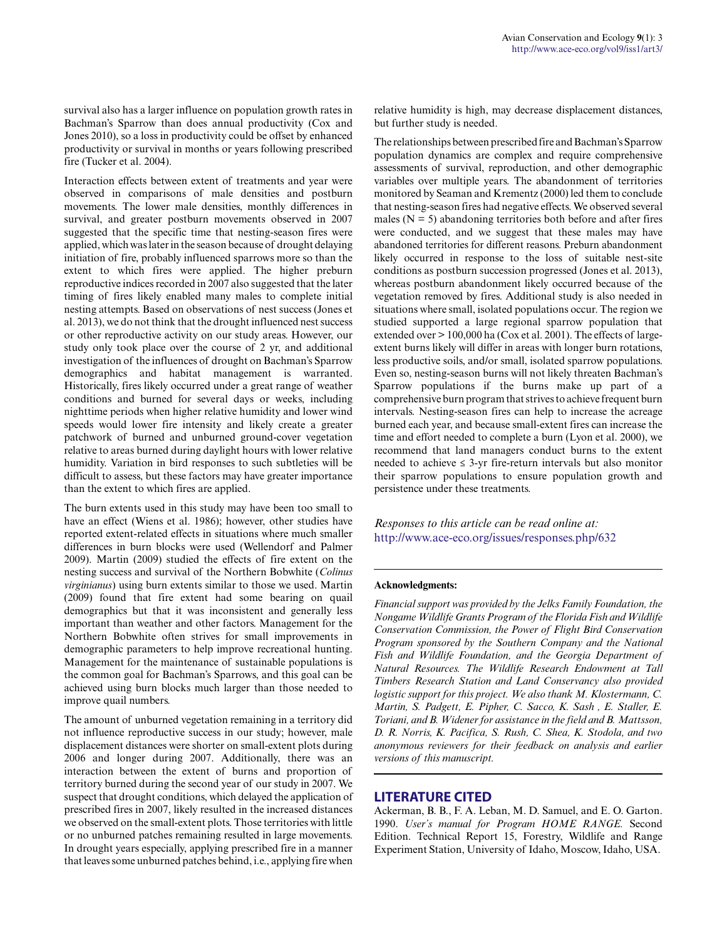survival also has a larger influence on population growth rates in Bachman's Sparrow than does annual productivity (Cox and Jones 2010), so a loss in productivity could be offset by enhanced productivity or survival in months or years following prescribed fire (Tucker et al. 2004).

Interaction effects between extent of treatments and year were observed in comparisons of male densities and postburn movements. The lower male densities, monthly differences in survival, and greater postburn movements observed in 2007 suggested that the specific time that nesting-season fires were applied, which was later in the season because of drought delaying initiation of fire, probably influenced sparrows more so than the extent to which fires were applied. The higher preburn reproductive indices recorded in 2007 also suggested that the later timing of fires likely enabled many males to complete initial nesting attempts. Based on observations of nest success (Jones et al. 2013), we do not think that the drought influenced nest success or other reproductive activity on our study areas. However, our study only took place over the course of 2 yr, and additional investigation of the influences of drought on Bachman's Sparrow demographics and habitat management is warranted. Historically, fires likely occurred under a great range of weather conditions and burned for several days or weeks, including nighttime periods when higher relative humidity and lower wind speeds would lower fire intensity and likely create a greater patchwork of burned and unburned ground-cover vegetation relative to areas burned during daylight hours with lower relative humidity. Variation in bird responses to such subtleties will be difficult to assess, but these factors may have greater importance than the extent to which fires are applied.

The burn extents used in this study may have been too small to have an effect (Wiens et al. 1986); however, other studies have reported extent-related effects in situations where much smaller differences in burn blocks were used (Wellendorf and Palmer 2009). Martin (2009) studied the effects of fire extent on the nesting success and survival of the Northern Bobwhite (*Colinus virginianus*) using burn extents similar to those we used. Martin (2009) found that fire extent had some bearing on quail demographics but that it was inconsistent and generally less important than weather and other factors. Management for the Northern Bobwhite often strives for small improvements in demographic parameters to help improve recreational hunting. Management for the maintenance of sustainable populations is the common goal for Bachman's Sparrows, and this goal can be achieved using burn blocks much larger than those needed to improve quail numbers.

The amount of unburned vegetation remaining in a territory did not influence reproductive success in our study; however, male displacement distances were shorter on small-extent plots during 2006 and longer during 2007. Additionally, there was an interaction between the extent of burns and proportion of territory burned during the second year of our study in 2007. We suspect that drought conditions, which delayed the application of prescribed fires in 2007, likely resulted in the increased distances we observed on the small-extent plots. Those territories with little or no unburned patches remaining resulted in large movements. In drought years especially, applying prescribed fire in a manner that leaves some unburned patches behind, i.e., applying fire when

relative humidity is high, may decrease displacement distances, but further study is needed.

The relationships between prescribed fire and Bachman's Sparrow population dynamics are complex and require comprehensive assessments of survival, reproduction, and other demographic variables over multiple years. The abandonment of territories monitored by Seaman and Krementz (2000) led them to conclude that nesting-season fires had negative effects. We observed several males  $(N = 5)$  abandoning territories both before and after fires were conducted, and we suggest that these males may have abandoned territories for different reasons. Preburn abandonment likely occurred in response to the loss of suitable nest-site conditions as postburn succession progressed (Jones et al. 2013), whereas postburn abandonment likely occurred because of the vegetation removed by fires. Additional study is also needed in situations where small, isolated populations occur. The region we studied supported a large regional sparrow population that extended over > 100,000 ha (Cox et al. 2001). The effects of largeextent burns likely will differ in areas with longer burn rotations, less productive soils, and/or small, isolated sparrow populations. Even so, nesting-season burns will not likely threaten Bachman's Sparrow populations if the burns make up part of a comprehensive burn program that strives to achieve frequent burn intervals. Nesting-season fires can help to increase the acreage burned each year, and because small-extent fires can increase the time and effort needed to complete a burn (Lyon et al. 2000), we recommend that land managers conduct burns to the extent needed to achieve ≤ 3-yr fire-return intervals but also monitor their sparrow populations to ensure population growth and persistence under these treatments.

*Responses to this article can be read online at:* <http://www.ace-eco.org/issues/responses.php/632>

#### **Acknowledgments:**

*Financial support was provided by the Jelks Family Foundation, the Nongame Wildlife Grants Program of the Florida Fish and Wildlife Conservation Commission, the Power of Flight Bird Conservation Program sponsored by the Southern Company and the National Fish and Wildlife Foundation, and the Georgia Department of Natural Resources. The Wildlife Research Endowment at Tall Timbers Research Station and Land Conservancy also provided logistic support for this project. We also thank M. Klostermann, C. Martin, S. Padgett, E. Pipher, C. Sacco, K. Sash , E. Staller, E. Toriani, and B. Widener for assistance in the field and B. Mattsson, D. R. Norris, K. Pacifica, S. Rush, C. Shea, K. Stodola, and two anonymous reviewers for their feedback on analysis and earlier versions of this manuscript.*

#### **LITERATURE CITED**

Ackerman, B. B., F. A. Leban, M. D. Samuel, and E. O. Garton. 1990. *User's manual for Program HOME RANGE.* Second Edition. Technical Report 15, Forestry, Wildlife and Range Experiment Station, University of Idaho, Moscow, Idaho, USA.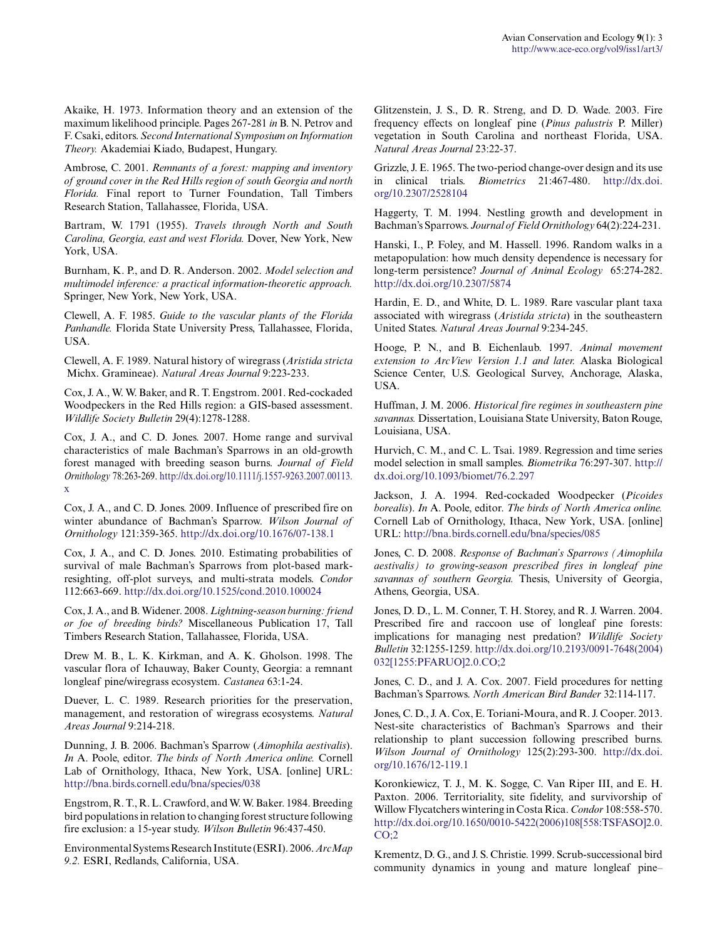Akaike, H. 1973. Information theory and an extension of the maximum likelihood principle. Pages 267-281 *in* B. N. Petrov and F. Csaki, editors. *Second International Symposium on Information Theory.* Akademiai Kiado, Budapest, Hungary.

Ambrose, C. 2001. *Remnants of a forest: mapping and inventory of ground cover in the Red Hills region of south Georgia and north Florida.* Final report to Turner Foundation, Tall Timbers Research Station, Tallahassee, Florida, USA.

Bartram, W. 1791 (1955). *Travels through North and South Carolina, Georgia, east and west Florida.* Dover, New York, New York, USA.

Burnham, K. P., and D. R. Anderson. 2002. *Model selection and multimodel inference: a practical information-theoretic approach.* Springer, New York, New York, USA.

Clewell, A. F. 1985. *Guide to the vascular plants of the Florida Panhandle.* Florida State University Press, Tallahassee, Florida, USA.

Clewell, A. F. 1989. Natural history of wiregrass (*Aristida stricta* Michx. Gramineae). *Natural Areas Journal* 9:223-233.

Cox, J. A., W. W. Baker, and R. T. Engstrom. 2001. Red-cockaded Woodpeckers in the Red Hills region: a GIS-based assessment. *Wildlife Society Bulletin* 29(4):1278-1288.

Cox, J. A., and C. D. Jones. 2007. Home range and survival characteristics of male Bachman's Sparrows in an old-growth forest managed with breeding season burns. *Journal of Field Ornithology* 78:263-269. [http://dx.doi.org/10.1111/j.1557-9263.2007.00113.](http://dx.doi.org/10.1111/j.1557-9263.2007.00113.x) [x](http://dx.doi.org/10.1111/j.1557-9263.2007.00113.x)

Cox, J. A., and C. D. Jones. 2009. Influence of prescribed fire on winter abundance of Bachman's Sparrow. *Wilson Journal of Ornithology* 121:359-365.<http://dx.doi.org/10.1676/07-138.1>

Cox, J. A., and C. D. Jones. 2010. Estimating probabilities of survival of male Bachman's Sparrows from plot-based markresighting, off-plot surveys, and multi-strata models. *Condor* 112:663-669. <http://dx.doi.org/10.1525/cond.2010.100024>

Cox, J. A., and B. Widener. 2008. *Lightning-season burning: friend or foe of breeding birds?* Miscellaneous Publication 17, Tall Timbers Research Station, Tallahassee, Florida, USA.

Drew M. B., L. K. Kirkman, and A. K. Gholson. 1998. The vascular flora of Ichauway, Baker County, Georgia: a remnant longleaf pine/wiregrass ecosystem. *Castanea* 63:1-24.

Duever, L. C. 1989. Research priorities for the preservation, management, and restoration of wiregrass ecosystems. *Natural Areas Journal* 9:214-218.

Dunning, J. B. 2006. Bachman's Sparrow (*Aimophila aestivalis*). *In* A. Poole, editor. *The birds of North America online.* Cornell Lab of Ornithology, Ithaca, New York, USA. [online] URL: <http://bna.birds.cornell.edu/bna/species/038>

Engstrom, R. T., R. L. Crawford, and W. W. Baker. 1984. Breeding bird populations in relation to changing forest structure following fire exclusion: a 15-year study. *Wilson Bulletin* 96:437-450.

Environmental Systems Research Institute (ESRI). 2006. *ArcMap 9.2.* ESRI, Redlands, California, USA.

Glitzenstein, J. S., D. R. Streng, and D. D. Wade. 2003. Fire frequency effects on longleaf pine (*Pinus palustris* P. Miller) vegetation in South Carolina and northeast Florida, USA. *Natural Areas Journal* 23:22-37.

Grizzle, J. E. 1965. The two-period change-over design and its use in clinical trials. *Biometrics* 21:467-480. [http://dx.doi.](http://dx.doi.org/10.2307/2528104) [org/10.2307/2528104](http://dx.doi.org/10.2307/2528104)

Haggerty, T. M. 1994. Nestling growth and development in Bachman's Sparrows. *Journal of Field Ornithology* 64(2):224-231.

Hanski, I., P. Foley, and M. Hassell. 1996. Random walks in a metapopulation: how much density dependence is necessary for long-term persistence? *Journal of Animal Ecology* 65:274-282. <http://dx.doi.org/10.2307/5874>

Hardin, E. D., and White, D. L. 1989. Rare vascular plant taxa associated with wiregrass (*Aristida stricta*) in the southeastern United States. *Natural Areas Journal* 9:234-245.

Hooge, P. N., and B. Eichenlaub. 1997. *Animal movement extension to ArcView Version 1.1 and later.* Alaska Biological Science Center, U.S. Geological Survey, Anchorage, Alaska, USA.

Huffman, J. M. 2006. *Historical fire regimes in southeastern pine savannas.* Dissertation, Louisiana State University, Baton Rouge, Louisiana, USA.

Hurvich, C. M., and C. L. Tsai. 1989. Regression and time series model selection in small samples. *Biometrika* 76:297-307. [http://](http://dx.doi.org/10.1093/biomet/76.2.297) [dx.doi.org/10.1093/biomet/76.2.297](http://dx.doi.org/10.1093/biomet/76.2.297)

Jackson, J. A. 1994. Red-cockaded Woodpecker (*Picoides borealis*). *In* A. Poole, editor. *The birds of North America online.* Cornell Lab of Ornithology, Ithaca, New York, USA. [online] URL:<http://bna.birds.cornell.edu/bna/species/085>

Jones, C. D. 2008. *Response of Bachman's Sparrows (Aimophila aestivalis) to growing-season prescribed fires in longleaf pine savannas of southern Georgia.* Thesis, University of Georgia, Athens, Georgia, USA.

Jones, D. D., L. M. Conner, T. H. Storey, and R. J. Warren. 2004. Prescribed fire and raccoon use of longleaf pine forests: implications for managing nest predation? *Wildlife Society Bulletin* 32:1255-1259. [http://dx.doi.org/10.2193/0091-7648\(2004\)](http://dx.doi.org/10.2193/0091-7648(2004)032[1255:PFARUO]2.0.CO;2) [032\[1255:PFARUO\]2.0.CO;2](http://dx.doi.org/10.2193/0091-7648(2004)032[1255:PFARUO]2.0.CO;2)

Jones, C. D., and J. A. Cox. 2007. Field procedures for netting Bachman's Sparrows. *North American Bird Bander* 32:114-117.

Jones, C. D., J. A. Cox, E. Toriani-Moura, and R. J. Cooper. 2013. Nest-site characteristics of Bachman's Sparrows and their relationship to plant succession following prescribed burns. *Wilson Journal of Ornithology* 125(2):293-300. [http://dx.doi.](http://dx.doi.org/10.1676/12-119.1) [org/10.1676/12-119.1](http://dx.doi.org/10.1676/12-119.1)

Koronkiewicz, T. J., M. K. Sogge, C. Van Riper III, and E. H. Paxton. 2006. Territoriality, site fidelity, and survivorship of Willow Flycatchers wintering in Costa Rica. *Condor* 108:558-570. [http://dx.doi.org/10.1650/0010-5422\(2006\)108\[558:TSFASO\]2.0.](http://dx.doi.org/10.1650/0010-5422(2006)108[558:TSFASO]2.0.CO;2)  $CO;2$ 

Krementz, D. G., and J. S. Christie. 1999. Scrub-successional bird community dynamics in young and mature longleaf pine–